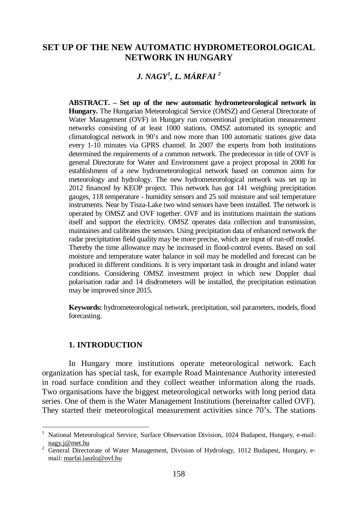# **SET UP OF THE NEW AUTOMATIC HYDROMETEOROLOGICAL NETWORK IN HUNGARY**

# *J. NAGY[1](#page-0-0) , L. MÁRFAI [2](#page-0-1)*

**ABSTRACT. – Set up of the new automatic hydrometeorological network in Hungary.** The Hungarian Meteorological Service (OMSZ) and General Directorate of Water Management (OVF) in Hungary run conventional precipitation measurement networks consisting of at least 1000 stations. OMSZ automated its synoptic and climatological network in 90's and now more than 100 automatic stations give data every 1-10 minutes via GPRS channel. In 2007 the experts from both institutions determined the requirements of a common network. The predecessor in title of OVF is general Directorate for Water and Environment gave a project proposal in 2008 for establishment of a new hydrometeorological network based on common aims for meteorology and hydrology. The new hydrometeorological network was set up in 2012 financed by KEOP project. This network has got 141 weighing precipitation gauges, 118 temperature - humidity sensors and 25 soil moisture and soil temperature instruments. Near by Tisza-Lake two wind sensors have been installed. The network is operated by OMSZ and OVF together. OVF and its institutions maintain the stations itself and support the electricity. OMSZ operates data collection and transmission, maintaines and calibrates the sensors. Using precipitation data of enhanced network the radar precipitation field quality may be more precise, which are input of run-off model. Thereby the time allowance may be increased in flood-control events. Based on soil moisture and temperature water balance in soil may be modelled and forecast can be produced in different conditions. It is very important task in drought and inland water conditions. Considering OMSZ investment project in which new Doppler dual polarisation radar and 14 disdrometers will be installed, the precipitation estimation may be improved since 2015.

**Keywords:** hydrometeorological network, precipitation, soil parameters, models, flood forecasting.

#### **1. INTRODUCTION**

l

In Hungary more institutions operate meteorological network. Each organization has special task, for example Road Maintenance Authority interested in road surface condition and they collect weather information along the roads. Two organisations have the biggest meteorological networks with long period data series. One of them is the Water Management Institutions (hereinafter called OVF). They started their meteorological measurement activities since 70's. The stations

<span id="page-0-0"></span><sup>&</sup>lt;sup>1</sup> National Meteorological Service, Surface Observation Division, 1024 Budapest, Hungary, e-mail: nagy.j@met.hu

<span id="page-0-1"></span><sup>&</sup>lt;sup>2</sup> General Directorate of Water Management, Division of Hydrology, 1012 Budapest, Hungary, email: marfai.laszlo@ovf.hu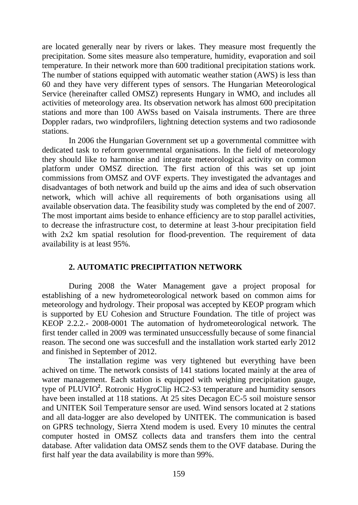are located generally near by rivers or lakes. They measure most frequently the precipitation. Some sites measure also temperature, humidity, evaporation and soil temperature. In their network more than 600 traditional precipitation stations work. The number of stations equipped with automatic weather station (AWS) is less than 60 and they have very different types of sensors. The Hungarian Meteorological Service (hereinafter called OMSZ) represents Hungary in WMO, and includes all activities of meteorology area. Its observation network has almost 600 precipitation stations and more than 100 AWSs based on Vaisala instruments. There are three Doppler radars, two windprofilers, lightning detection systems and two radiosonde stations.

In 2006 the Hungarian Government set up a governmental committee with dedicated task to reform governmental organisations. In the field of meteorology they should like to harmonise and integrate meteorological activity on common platform under OMSZ direction. The first action of this was set up joint commissions from OMSZ and OVF experts. They investigated the advantages and disadvantages of both network and build up the aims and idea of such observation network, which will achive all requirements of both organisations using all available observation data. The feasibility study was completed by the end of 2007. The most important aims beside to enhance efficiency are to stop parallel activities, to decrease the infrastructure cost, to determine at least 3-hour precipitation field with 2x2 km spatial resolution for flood-prevention. The requirement of data availability is at least 95%.

# **2. AUTOMATIC PRECIPITATION NETWORK**

During 2008 the Water Management gave a project proposal for establishing of a new hydrometeorological network based on common aims for meteorology and hydrology. Their proposal was accepted by KEOP program which is supported by EU Cohesion and Structure Foundation. The title of project was KEOP 2.2.2.- 2008-0001 The automation of hydrometeorological network. The first tender called in 2009 was terminated unsuccessfully because of some financial reason. The second one was succesfull and the installation work started early 2012 and finished in September of 2012.

The installation regime was very tightened but everything have been achived on time. The network consists of 141 stations located mainly at the area of water management. Each station is equipped with weighing precipitation gauge, type of PLUVIO**<sup>2</sup>** . Rotronic HygroClip HC2-S3 temperature and humidity sensors have been installed at 118 stations. At 25 sites Decagon EC-5 soil moisture sensor and UNITEK Soil Temperature sensor are used. Wind sensors located at 2 stations and all data-logger are also developed by UNITEK. The communication is based on GPRS technology, Sierra Xtend modem is used. Every 10 minutes the central computer hosted in OMSZ collects data and transfers them into the central database. After validation data OMSZ sends them to the OVF database. During the first half year the data availability is more than 99%.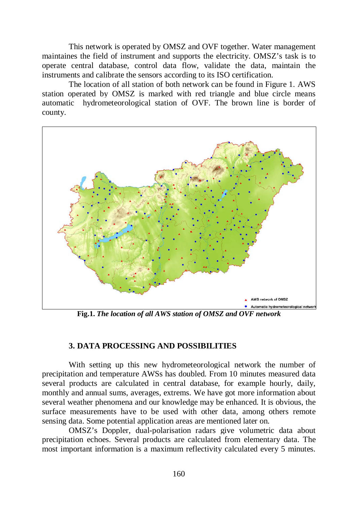This network is operated by OMSZ and OVF together. Water management maintaines the field of instrument and supports the electricity. OMSZ's task is to operate central database, control data flow, validate the data, maintain the instruments and calibrate the sensors according to its ISO certification.

The location of all station of both network can be found in Figure 1. AWS station operated by OMSZ is marked with red triangle and blue circle means automatic hydrometeorological station of OVF. The brown line is border of county.



**Fig.1.** *The location of all AWS station of OMSZ and OVF network*

### **3. DATA PROCESSING AND POSSIBILITIES**

With setting up this new hydrometeorological network the number of precipitation and temperature AWSs has doubled. From 10 minutes measured data several products are calculated in central database, for example hourly, daily, monthly and annual sums, averages, extrems. We have got more information about several weather phenomena and our knowledge may be enhanced. It is obvious, the surface measurements have to be used with other data, among others remote sensing data. Some potential application areas are mentioned later on.

OMSZ's Doppler, dual-polarisation radars give volumetric data about precipitation echoes. Several products are calculated from elementary data. The most important information is a maximum reflectivity calculated every 5 minutes.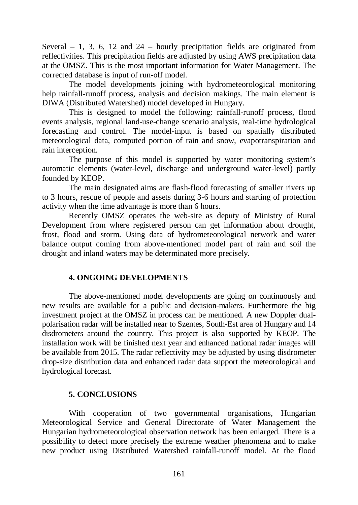Several  $-1$ , 3, 6, 12 and 24 – hourly precipitation fields are originated from reflectivities. This precipitation fields are adjusted by using AWS precipitation data at the OMSZ. This is the most important information for Water Management. The corrected database is input of run-off model.

The model developments joining with hydrometeorological monitoring help rainfall-runoff process, analysis and decision makings. The main element is DIWA (Distributed Watershed) model developed in Hungary.

This is designed to model the following: rainfall-runoff process, flood events analysis, regional land-use-change scenario analysis, real-time hydrological forecasting and control. The model-input is based on spatially distributed meteorological data, computed portion of rain and snow, evapotranspiration and rain interception.

The purpose of this model is supported by water monitoring system's automatic elements (water-level, discharge and underground water-level) partly founded by KEOP.

The main designated aims are flash-flood forecasting of smaller rivers up to 3 hours, rescue of people and assets during 3-6 hours and starting of protection activity when the time advantage is more than 6 hours.

Recently OMSZ operates the web-site as deputy of Ministry of Rural Development from where registered person can get information about drought, frost, flood and storm. Using data of hydrometeorological network and water balance output coming from above-mentioned model part of rain and soil the drought and inland waters may be determinated more precisely.

# **4. ONGOING DEVELOPMENTS**

The above-mentioned model developments are going on continuously and new results are available for a public and decision-makers. Furthermore the big investment project at the OMSZ in process can be mentioned. A new Doppler dualpolarisation radar will be installed near to Szentes, South-Est area of Hungary and 14 disdrometers around the country. This project is also supported by KEOP. The installation work will be finished next year and enhanced national radar images will be available from 2015. The radar reflectivity may be adjusted by using disdrometer drop-size distribution data and enhanced radar data support the meteorological and hydrological forecast.

# **5. CONCLUSIONS**

With cooperation of two governmental organisations, Hungarian Meteorological Service and General Directorate of Water Management the Hungarian hydrometeorological observation network has been enlarged. There is a possibility to detect more precisely the extreme weather phenomena and to make new product using Distributed Watershed rainfall-runoff model. At the flood